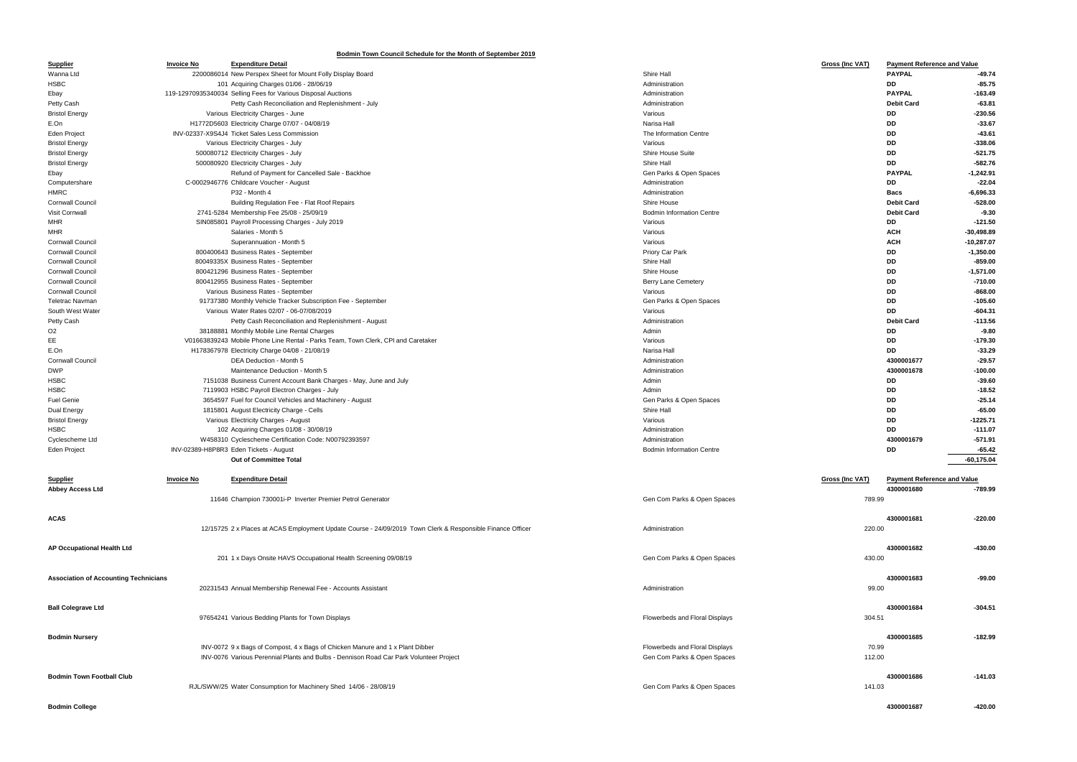## **Bodmin Town Council Schedule for the Month of September 2019**

| <b>Supplier</b>                              | <b>Invoice No</b> | <b>Expenditure Detail</b>                                                                                  |                                  | <u>Gross (Inc VAT)</u> | <b>Payment Reference and Value</b> |              |
|----------------------------------------------|-------------------|------------------------------------------------------------------------------------------------------------|----------------------------------|------------------------|------------------------------------|--------------|
| Wanna Ltd                                    |                   | 2200086014 New Perspex Sheet for Mount Folly Display Board                                                 | Shire Hall                       |                        | <b>PAYPAL</b>                      | -49.74       |
| <b>HSBC</b>                                  |                   | 101 Acquiring Charges 01/06 - 28/06/19                                                                     | Administration                   |                        | DD                                 | $-85.75$     |
|                                              |                   | 119-12970935340034 Selling Fees for Various Disposal Auctions                                              | Administration                   |                        | <b>PAYPAL</b>                      | $-163.49$    |
| Ebay                                         |                   |                                                                                                            |                                  |                        |                                    |              |
| Petty Cash                                   |                   | Petty Cash Reconciliation and Replenishment - July                                                         | Administration                   |                        | <b>Debit Card</b>                  | $-63.81$     |
| <b>Bristol Energy</b>                        |                   | Various Electricity Charges - June                                                                         | Various                          |                        | DD                                 | $-230.56$    |
| E.On                                         |                   | H1772D5603 Electricity Charge 07/07 - 04/08/19                                                             | Narisa Hall                      |                        | DD                                 | $-33.67$     |
| <b>Eden Project</b>                          |                   | INV-02337-X9S4J4 Ticket Sales Less Commission                                                              | The Information Centre           |                        | DD                                 | $-43.61$     |
| <b>Bristol Energy</b>                        |                   | Various Electricity Charges - July                                                                         | Various                          |                        | DD                                 | $-338.06$    |
| <b>Bristol Energy</b>                        |                   | 500080712 Electricity Charges - July                                                                       | <b>Shire House Suite</b>         |                        | DD                                 | $-521.75$    |
| <b>Bristol Energy</b>                        |                   | 500080920 Electricity Charges - July                                                                       | Shire Hall                       |                        | DD                                 | $-582.76$    |
| Ebay                                         |                   | Refund of Payment for Cancelled Sale - Backhoe                                                             | Gen Parks & Open Spaces          |                        | <b>PAYPAL</b>                      | -1,242.91    |
| Computershare                                |                   | C-0002946776 Childcare Voucher - August                                                                    | Administration                   |                        | DD                                 | $-22.04$     |
| <b>HMRC</b>                                  |                   | P32 - Month 4                                                                                              | Administration                   |                        | <b>Bacs</b>                        | $-6,696.33$  |
| <b>Cornwall Council</b>                      |                   | <b>Building Regulation Fee - Flat Roof Repairs</b>                                                         | Shire House                      |                        | <b>Debit Card</b>                  | $-528.00$    |
|                                              |                   |                                                                                                            | <b>Bodmin Information Centre</b> |                        |                                    | $-9.30$      |
| Visit Cornwall                               |                   | 2741-5284 Membership Fee 25/08 - 25/09/19                                                                  |                                  |                        | <b>Debit Card</b>                  |              |
| <b>MHR</b>                                   |                   | SIN085801 Payroll Processing Charges - July 2019                                                           | Various                          |                        | DD                                 | $-121.50$    |
| <b>MHR</b>                                   |                   | Salaries - Month 5                                                                                         | Various                          |                        | <b>ACH</b>                         | $-30,498.89$ |
| <b>Cornwall Council</b>                      |                   | Superannuation - Month 5                                                                                   | Various                          |                        | <b>ACH</b>                         | -10,287.07   |
| <b>Cornwall Council</b>                      |                   | 800400643 Business Rates - September                                                                       | Priory Car Park                  |                        | DD                                 | $-1,350.00$  |
| <b>Cornwall Council</b>                      |                   | 80049335X Business Rates - September                                                                       | Shire Hall                       |                        | DD                                 | $-859.00$    |
| <b>Cornwall Council</b>                      |                   | 800421296 Business Rates - September                                                                       | Shire House                      |                        | DD                                 | $-1,571.00$  |
| <b>Cornwall Council</b>                      |                   | 800412955 Business Rates - September                                                                       | Berry Lane Cemetery              |                        | DD                                 | $-710.00$    |
| <b>Cornwall Council</b>                      |                   | Various Business Rates - September                                                                         | Various                          |                        | DD                                 | $-868.00$    |
| Teletrac Navman                              |                   | 91737380 Monthly Vehicle Tracker Subscription Fee - September                                              | Gen Parks & Open Spaces          |                        | DD                                 | $-105.60$    |
| South West Water                             |                   | Various Water Rates 02/07 - 06-07/08/2019                                                                  | Various                          |                        | DD                                 | $-604.31$    |
|                                              |                   |                                                                                                            | Administration                   |                        | <b>Debit Card</b>                  | $-113.56$    |
| Petty Cash                                   |                   | Petty Cash Reconciliation and Replenishment - August                                                       |                                  |                        |                                    |              |
| O <sub>2</sub>                               |                   | 38188881 Monthly Mobile Line Rental Charges                                                                | Admin                            |                        | DD                                 | $-9.80$      |
| EE                                           |                   | V01663839243 Mobile Phone Line Rental - Parks Team, Town Clerk, CPI and Caretaker                          | Various                          |                        | DD                                 | $-179.30$    |
| E.On                                         |                   | H178367978 Electricity Charge 04/08 - 21/08/19                                                             | Narisa Hall                      |                        | DD                                 | $-33.29$     |
| <b>Cornwall Council</b>                      |                   | DEA Deduction - Month 5                                                                                    | Administration                   |                        | 4300001677                         | $-29.57$     |
| <b>DWP</b>                                   |                   | Maintenance Deduction - Month 5                                                                            | Administration                   |                        | 4300001678                         | $-100.00$    |
| <b>HSBC</b>                                  |                   | 7151038 Business Current Account Bank Charges - May, June and July                                         | Admin                            |                        | DD                                 | $-39.60$     |
| <b>HSBC</b>                                  |                   | 7119903 HSBC Payroll Electron Charges - July                                                               | Admin                            |                        | DD                                 | $-18.52$     |
| <b>Fuel Genie</b>                            |                   | 3654597 Fuel for Council Vehicles and Machinery - August                                                   | Gen Parks & Open Spaces          |                        | DD                                 | $-25.14$     |
| Dual Energy                                  |                   | 1815801 August Electricity Charge - Cells                                                                  | Shire Hall                       |                        | DD                                 | $-65.00$     |
| <b>Bristol Energy</b>                        |                   | Various Electricity Charges - August                                                                       | Various                          |                        | DD                                 | $-1225.71$   |
| HSBC                                         |                   | 102 Acquiring Charges 01/08 - 30/08/19                                                                     | Administration                   |                        | DD                                 | $-111.07$    |
| Cyclescheme Ltd                              |                   | W458310 Cyclescheme Certification Code: N00792393597                                                       | Administration                   |                        | 4300001679                         | $-571.91$    |
|                                              |                   |                                                                                                            |                                  |                        |                                    |              |
| <b>Eden Project</b>                          |                   | INV-02389-H8P8R3 Eden Tickets - August                                                                     | <b>Bodmin Information Centre</b> |                        | DD                                 | $-65.42$     |
|                                              |                   | <b>Out of Committee Total</b>                                                                              |                                  |                        |                                    | $-60,175.04$ |
|                                              |                   |                                                                                                            |                                  |                        |                                    |              |
| <b>Supplier</b>                              | <b>Invoice No</b> | <b>Expenditure Detail</b>                                                                                  |                                  | <b>Gross (Inc VAT)</b> | <b>Payment Reference and Value</b> |              |
| <b>Abbey Access Ltd</b>                      |                   |                                                                                                            |                                  |                        | 4300001680                         | -789.99      |
|                                              |                   | 11646 Champion 730001i-P Inverter Premier Petrol Generator                                                 | Gen Com Parks & Open Spaces      | 789.99                 |                                    |              |
|                                              |                   |                                                                                                            |                                  |                        |                                    |              |
| <b>ACAS</b>                                  |                   |                                                                                                            |                                  |                        | 4300001681                         | $-220.00$    |
|                                              |                   | 12/15725 2 x Places at ACAS Employment Update Course - 24/09/2019 Town Clerk & Responsible Finance Officer | Administration                   | 220.00                 |                                    |              |
|                                              |                   |                                                                                                            |                                  |                        |                                    |              |
| AP Occupational Health Ltd                   |                   |                                                                                                            |                                  |                        | 4300001682                         | $-430.00$    |
|                                              |                   |                                                                                                            |                                  |                        |                                    |              |
|                                              |                   | 201 1 x Days Onsite HAVS Occupational Health Screening 09/08/19                                            | Gen Com Parks & Open Spaces      | 430.00                 |                                    |              |
|                                              |                   |                                                                                                            |                                  |                        |                                    |              |
| <b>Association of Accounting Technicians</b> |                   |                                                                                                            |                                  |                        | 4300001683                         | $-99.00$     |
|                                              |                   | 20231543 Annual Membership Renewal Fee - Accounts Assistant                                                | Administration                   | 99.00                  |                                    |              |
|                                              |                   |                                                                                                            |                                  |                        |                                    |              |
| <b>Ball Colegrave Ltd</b>                    |                   |                                                                                                            |                                  |                        | 4300001684                         | $-304.51$    |
|                                              |                   | 97654241 Various Bedding Plants for Town Displays                                                          | Flowerbeds and Floral Displays   | 304.51                 |                                    |              |
|                                              |                   |                                                                                                            |                                  |                        |                                    |              |
| <b>Bodmin Nursery</b>                        |                   |                                                                                                            |                                  |                        | 4300001685                         | $-182.99$    |
|                                              |                   | INV-0072 9 x Bags of Compost, 4 x Bags of Chicken Manure and 1 x Plant Dibber                              | Flowerbeds and Floral Displays   | 70.99                  |                                    |              |
|                                              |                   | INV-0076 Various Perennial Plants and Bulbs - Dennison Road Car Park Volunteer Project                     | Gen Com Parks & Open Spaces      | 112.00                 |                                    |              |
|                                              |                   |                                                                                                            |                                  |                        |                                    |              |
|                                              |                   |                                                                                                            |                                  |                        |                                    |              |
| <b>Bodmin Town Football Club</b>             |                   |                                                                                                            |                                  |                        | 4300001686                         | $-141.03$    |
|                                              |                   | RJL/SWW/25 Water Consumption for Machinery Shed 14/06 - 28/08/19                                           | Gen Com Parks & Open Spaces      | 141.03                 |                                    |              |
|                                              |                   |                                                                                                            |                                  |                        |                                    |              |

| <b>Gross (Inc VAT)</b> |  |
|------------------------|--|
|                        |  |

| <b>Payment Reference and Value</b> |              |  |
|------------------------------------|--------------|--|
| <b>PAYPAL</b>                      | -49.74       |  |
| DD                                 | $-85.75$     |  |
| <b>PAYPAL</b>                      | $-163.49$    |  |
| <b>Debit Card</b>                  | $-63.81$     |  |
| DD                                 | $-230.56$    |  |
| DD                                 | $-33.67$     |  |
| DD                                 | $-43.61$     |  |
| DD                                 | $-338.06$    |  |
| DD                                 | $-521.75$    |  |
| DD                                 | $-582.76$    |  |
| <b>PAYPAL</b>                      | -1.242.91    |  |
| DD                                 | $-22.04$     |  |
| <b>Bacs</b>                        | -6,696.33    |  |
| <b>Debit Card</b>                  | $-528.00$    |  |
| <b>Debit Card</b>                  | $-9.30$      |  |
| DD                                 | $-121.50$    |  |
| <b>ACH</b>                         | $-30,498.89$ |  |
| ACH                                | $-10,287.07$ |  |
| DD                                 | $-1,350.00$  |  |
| DD                                 | $-859.00$    |  |
| DD                                 | $-1,571.00$  |  |
| DD                                 | $-710.00$    |  |
| DD                                 | $-868.00$    |  |
| DD                                 | $-105.60$    |  |
| DD                                 | $-604.31$    |  |
| <b>Debit Card</b>                  | $-113.56$    |  |
| DD                                 | $-9.80$      |  |
| DD                                 | $-179.30$    |  |
| DD                                 | $-33.29$     |  |
| 4300001677                         | $-29.57$     |  |
| 4300001678                         | $-100.00$    |  |
| DD                                 | -39.60       |  |
| DD                                 | -18.52       |  |
| DD                                 | $-25.14$     |  |
| DD                                 | $-65.00$     |  |
| DD                                 | -1225.71     |  |
| DD                                 | $-111.07$    |  |
| 4300001679                         | $-571.91$    |  |
| DD                                 | $-65.42$     |  |
|                                    | $-60,175.04$ |  |

| <u>Supplier</u><br>Abbey Access Ltd          | <b>Invoice No</b> | <b>Expenditure Detail</b>                                                                                                                                               |                                                               | Gross (Inc VAT) | <b>Payment Reference and Value</b><br>4300001680 | -789.99   |
|----------------------------------------------|-------------------|-------------------------------------------------------------------------------------------------------------------------------------------------------------------------|---------------------------------------------------------------|-----------------|--------------------------------------------------|-----------|
|                                              |                   | 11646 Champion 730001i-P Inverter Premier Petrol Generator                                                                                                              | Gen Com Parks & Open Spaces                                   | 789.99          |                                                  |           |
| <b>ACAS</b>                                  |                   | 12/15725 2 x Places at ACAS Employment Update Course - 24/09/2019 Town Clerk & Responsible Finance Officer                                                              | Administration                                                | 220.00          | 4300001681                                       | $-220.00$ |
| AP Occupational Health Ltd                   |                   | 201 1 x Days Onsite HAVS Occupational Health Screening 09/08/19                                                                                                         | Gen Com Parks & Open Spaces                                   | 430.00          | 4300001682                                       | $-430.00$ |
| <b>Association of Accounting Technicians</b> |                   | 20231543 Annual Membership Renewal Fee - Accounts Assistant                                                                                                             | Administration                                                | 99.00           | 4300001683                                       | -99.00    |
| <b>Ball Colegrave Ltd</b>                    |                   | 97654241 Various Bedding Plants for Town Displays                                                                                                                       | Flowerbeds and Floral Displays                                | 304.51          | 4300001684                                       | $-304.51$ |
| <b>Bodmin Nursery</b>                        |                   | INV-0072 9 x Bags of Compost, 4 x Bags of Chicken Manure and 1 x Plant Dibber<br>INV-0076 Various Perennial Plants and Bulbs - Dennison Road Car Park Volunteer Project | Flowerbeds and Floral Displays<br>Gen Com Parks & Open Spaces | 70.99<br>112.00 | 4300001685                                       | $-182.99$ |
| <b>Bodmin Town Football Club</b>             |                   | RJL/SWW/25 Water Consumption for Machinery Shed 14/06 - 28/08/19                                                                                                        | Gen Com Parks & Open Spaces                                   | 141.03          | 4300001686                                       | $-141.03$ |
| <b>Bodmin College</b>                        |                   |                                                                                                                                                                         |                                                               |                 | 4300001687                                       | $-420.00$ |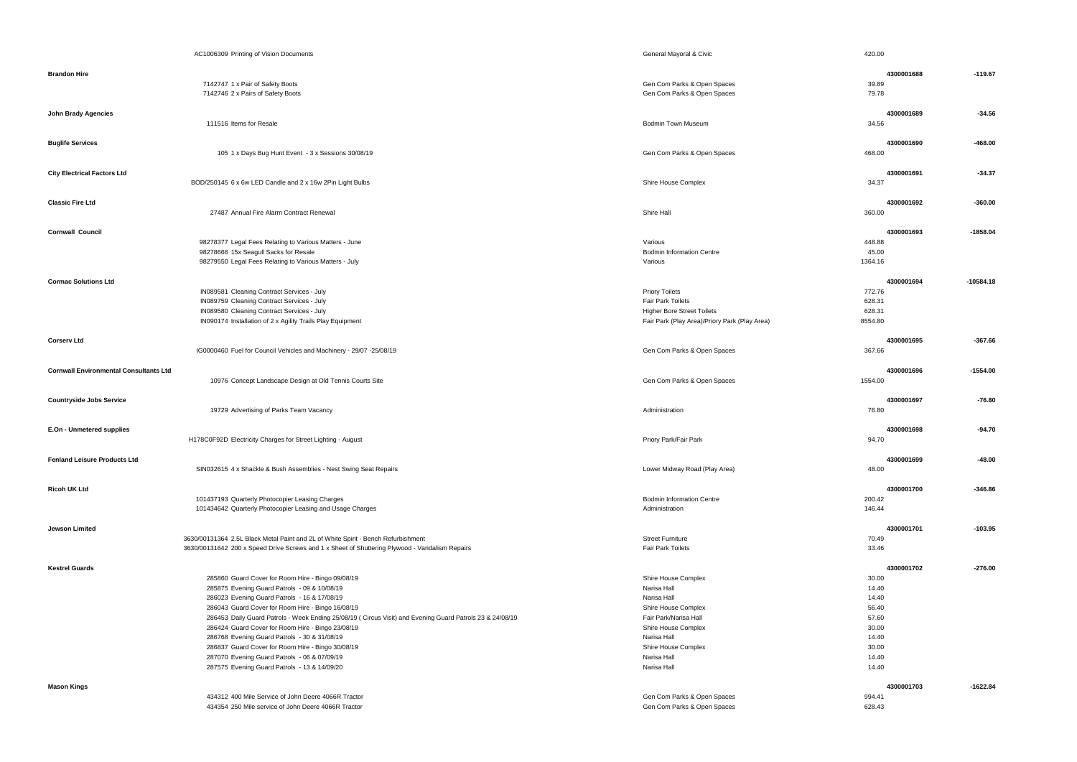|                                               | AC1006309 Printing of Vision Documents                                                                       | General Mayoral & Civic                            | 420.00              |             |
|-----------------------------------------------|--------------------------------------------------------------------------------------------------------------|----------------------------------------------------|---------------------|-------------|
| <b>Brandon Hire</b>                           |                                                                                                              |                                                    | 4300001688          | $-119.67$   |
|                                               | 7142747 1 x Pair of Safety Boots                                                                             | Gen Com Parks & Open Spaces                        | 39.89               |             |
|                                               | 7142746 2 x Pairs of Safety Boots                                                                            | Gen Com Parks & Open Spaces                        | 79.78               |             |
|                                               |                                                                                                              |                                                    |                     |             |
| <b>John Brady Agencies</b>                    | 111516 Items for Resale                                                                                      | <b>Bodmin Town Museum</b>                          | 4300001689<br>34.56 | $-34.56$    |
|                                               |                                                                                                              |                                                    |                     |             |
| <b>Buglife Services</b>                       |                                                                                                              |                                                    | 4300001690          | $-468.00$   |
|                                               | 105 1 x Days Bug Hunt Event - 3 x Sessions 30/08/19                                                          | Gen Com Parks & Open Spaces                        | 468.00              |             |
| <b>City Electrical Factors Ltd</b>            |                                                                                                              |                                                    | 4300001691          | $-34.37$    |
|                                               | BOD/250145 6 x 6w LED Candle and 2 x 16w 2Pin Light Bulbs                                                    | Shire House Complex                                | 34.37               |             |
| <b>Classic Fire Ltd</b>                       |                                                                                                              |                                                    | 4300001692          | $-360.00$   |
|                                               | 27487 Annual Fire Alarm Contract Renewal                                                                     | Shire Hall                                         | 360.00              |             |
| <b>Cornwall Council</b>                       |                                                                                                              |                                                    | 4300001693          | $-1858.04$  |
|                                               | 98278377 Legal Fees Relating to Various Matters - June                                                       | Various                                            | 448.88              |             |
|                                               | 98278666 15x Seagull Sacks for Resale                                                                        | <b>Bodmin Information Centre</b>                   | 45.00               |             |
|                                               | 98279550 Legal Fees Relating to Various Matters - July                                                       | Various                                            | 1364.16             |             |
| <b>Cormac Solutions Ltd</b>                   |                                                                                                              |                                                    | 4300001694          | $-10584.18$ |
|                                               | IN089581 Cleaning Contract Services - July                                                                   | <b>Priory Toilets</b>                              | 772.76              |             |
|                                               | IN089759 Cleaning Contract Services - July                                                                   | <b>Fair Park Toilets</b>                           | 628.31              |             |
|                                               | IN089580 Cleaning Contract Services - July                                                                   | <b>Higher Bore Street Toilets</b>                  | 628.31              |             |
|                                               | IN090174 Installation of 2 x Agility Trails Play Equipment                                                   | Fair Park (Play Area)/Priory Park (Play Area)      | 8554.80             |             |
|                                               |                                                                                                              |                                                    |                     |             |
| <b>Corserv Ltd</b>                            |                                                                                                              |                                                    | 4300001695          | $-367.66$   |
|                                               | IG0000460 Fuel for Council Vehicles and Machinery - 29/07 -25/08/19                                          | Gen Com Parks & Open Spaces                        | 367.66              |             |
| <b>Cornwall Environmental Consultants Ltd</b> |                                                                                                              |                                                    | 4300001696          | $-1554.00$  |
|                                               | 10976 Concept Landscape Design at Old Tennis Courts Site                                                     | Gen Com Parks & Open Spaces                        | 1554.00             |             |
|                                               |                                                                                                              |                                                    |                     |             |
| <b>Countryside Jobs Service</b>               | 19729 Advertising of Parks Team Vacancy                                                                      | Administration                                     | 4300001697          | $-76.80$    |
|                                               |                                                                                                              |                                                    | 76.80               |             |
| E.On - Unmetered supplies                     |                                                                                                              |                                                    | 4300001698          | -94.70      |
|                                               | H178C0F92D Electricity Charges for Street Lighting - August                                                  | Priory Park/Fair Park                              | 94.70               |             |
| <b>Fenland Leisure Products Ltd</b>           |                                                                                                              |                                                    | 4300001699          | $-48.00$    |
|                                               | SIN032615 4 x Shackle & Bush Assemblies - Nest Swing Seat Repairs                                            | Lower Midway Road (Play Area)                      | 48.00               |             |
|                                               |                                                                                                              |                                                    |                     |             |
| <b>Ricoh UK Ltd</b>                           |                                                                                                              |                                                    | 4300001700          | $-346.86$   |
|                                               | 101437193 Quarterly Photocopier Leasing Charges<br>101434642 Quarterly Photocopier Leasing and Usage Charges | <b>Bodmin Information Centre</b><br>Administration | 200.42<br>146.44    |             |
|                                               |                                                                                                              |                                                    |                     |             |
| Jewson Limited                                |                                                                                                              |                                                    | 4300001701          | $-103.95$   |
|                                               | 3630/00131364 2.5L Black Metal Paint and 2L of White Spirit - Bench Refurbishment                            | <b>Street Furniture</b>                            | 70.49               |             |
|                                               | 3630/00131642 200 x Speed Drive Screws and 1 x Sheet of Shuttering Plywood - Vandalism Repairs               | <b>Fair Park Toilets</b>                           | 33.46               |             |
| <b>Kestrel Guards</b>                         |                                                                                                              |                                                    | 4300001702          | $-276.00$   |
|                                               | 285860 Guard Cover for Room Hire - Bingo 09/08/19                                                            | Shire House Complex                                | 30.00               |             |
|                                               | 285875 Evening Guard Patrols - 09 & 10/08/19                                                                 | Narisa Hall                                        | 14.40               |             |
|                                               | 286023 Evening Guard Patrols - 16 & 17/08/19                                                                 | Narisa Hall                                        | 14.40               |             |
|                                               | 286043 Guard Cover for Room Hire - Bingo 16/08/19                                                            | Shire House Complex                                | 56.40               |             |
|                                               | 286453 Daily Guard Patrols - Week Ending 25/08/19 ( Circus Visit) and Evening Guard Patrols 23 & 24/08/19    | Fair Park/Narisa Hall                              | 57.60               |             |
|                                               | 286424 Guard Cover for Room Hire - Bingo 23/08/19                                                            | Shire House Complex                                | 30.00               |             |
|                                               | 286768 Evening Guard Patrols - 30 & 31/08/19                                                                 | Narisa Hall                                        | 14.40               |             |
|                                               | 286837 Guard Cover for Room Hire - Bingo 30/08/19                                                            | Shire House Complex                                | 30.00               |             |
|                                               | 287070 Evening Guard Patrols - 06 & 07/09/19                                                                 | Narisa Hall                                        | 14.40               |             |
|                                               | 287575 Evening Guard Patrols - 13 & 14/09/20                                                                 | Narisa Hall                                        | 14.40               |             |
| <b>Mason Kings</b>                            |                                                                                                              |                                                    | 4300001703          | $-1622.84$  |
|                                               | 434312 400 Mile Service of John Deere 4066R Tractor                                                          | Gen Com Parks & Open Spaces                        | 994.41              |             |
|                                               | 434354 250 Mile service of John Deere 4066R Tractor                                                          | Gen Com Parks & Open Spaces                        | 628.43              |             |

|             |            | 420.00                                                                                 |
|-------------|------------|----------------------------------------------------------------------------------------|
| $-119.67$   | 4300001688 | 39.89<br>79.78                                                                         |
| $-34.56$    | 4300001689 | 34.56                                                                                  |
| $-468.00$   | 4300001690 | 468.00                                                                                 |
| $-34.37$    | 4300001691 | 34.37                                                                                  |
| $-360.00$   | 4300001692 | 360.00                                                                                 |
| -1858.04    | 4300001693 | 448.88<br>45.00<br>1364.16                                                             |
| $-10584.18$ | 4300001694 | 772.76<br>628.31<br>628.31<br>8554.80                                                  |
| $-367.66$   | 4300001695 | 367.66                                                                                 |
| $-1554.00$  | 4300001696 | 1554.00                                                                                |
| $-76.80$    | 4300001697 | 76.80                                                                                  |
| $-94.70$    | 4300001698 | 94.70                                                                                  |
| $-48.00$    | 4300001699 | 48.00                                                                                  |
| $-346.86$   | 4300001700 | 200.42<br>146.44                                                                       |
| $-103.95$   | 4300001701 | 70.49<br>33.46                                                                         |
| $-276.00$   | 4300001702 | 30.00<br>14.40<br>14.40<br>56.40<br>57.60<br>30.00<br>14.40<br>30.00<br>14.40<br>14.40 |
| $-1622.84$  | 4300001703 | 994.41<br><b>628 13</b>                                                                |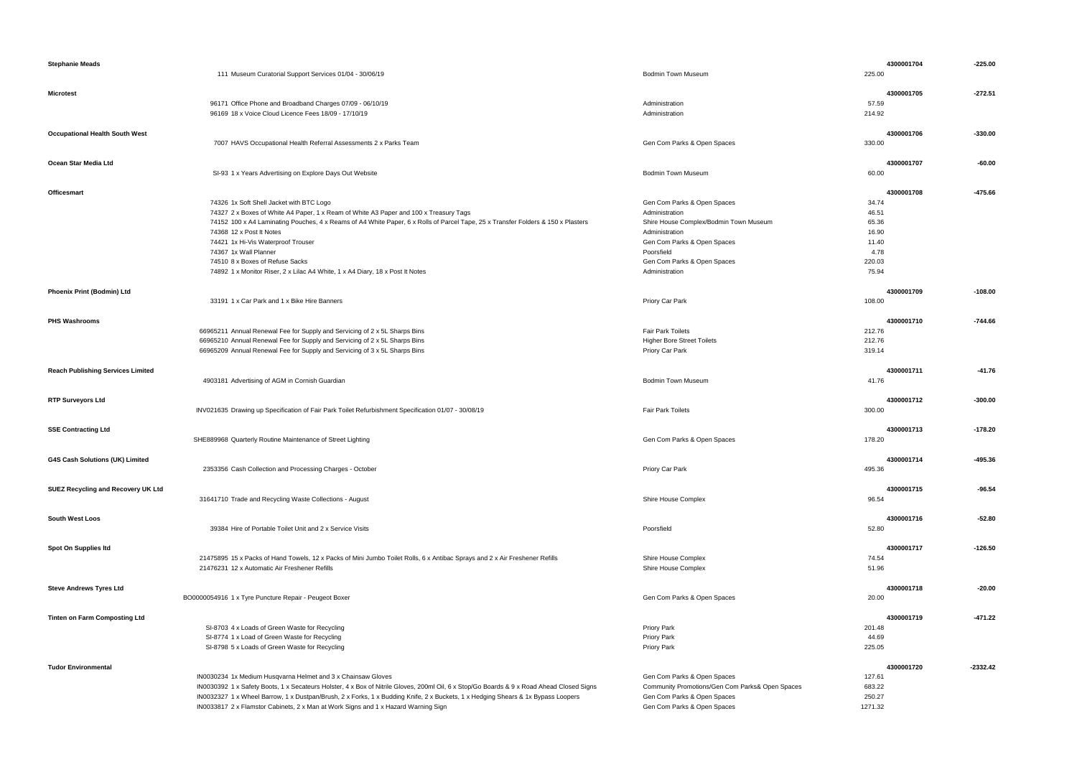| <b>Stephanie Meads</b>                    |                                                                                                                                           |                                                 | 4300001704 | $-225.00$  |
|-------------------------------------------|-------------------------------------------------------------------------------------------------------------------------------------------|-------------------------------------------------|------------|------------|
|                                           | 111 Museum Curatorial Support Services 01/04 - 30/06/19                                                                                   | <b>Bodmin Town Museum</b>                       | 225.00     |            |
|                                           |                                                                                                                                           |                                                 |            |            |
|                                           |                                                                                                                                           |                                                 |            | $-272.51$  |
| <b>Microtest</b>                          |                                                                                                                                           |                                                 | 4300001705 |            |
|                                           | 96171 Office Phone and Broadband Charges 07/09 - 06/10/19                                                                                 | Administration                                  | 57.59      |            |
|                                           | 96169 18 x Voice Cloud Licence Fees 18/09 - 17/10/19                                                                                      | Administration                                  | 214.92     |            |
|                                           |                                                                                                                                           |                                                 |            |            |
| <b>Occupational Health South West</b>     |                                                                                                                                           |                                                 | 4300001706 | $-330.00$  |
|                                           | 7007 HAVS Occupational Health Referral Assessments 2 x Parks Team                                                                         | Gen Com Parks & Open Spaces                     | 330.00     |            |
|                                           |                                                                                                                                           |                                                 |            |            |
| Ocean Star Media Ltd                      |                                                                                                                                           |                                                 | 4300001707 | $-60.00$   |
|                                           | SI-93 1 x Years Advertising on Explore Days Out Website                                                                                   | <b>Bodmin Town Museum</b>                       | 60.00      |            |
|                                           |                                                                                                                                           |                                                 |            |            |
| <b>Officesmart</b>                        |                                                                                                                                           |                                                 | 4300001708 | $-475.66$  |
|                                           | 74326 1x Soft Shell Jacket with BTC Logo                                                                                                  | Gen Com Parks & Open Spaces                     | 34.74      |            |
|                                           | 74327 2 x Boxes of White A4 Paper, 1 x Ream of White A3 Paper and 100 x Treasury Tags                                                     | Administration                                  | 46.51      |            |
|                                           | 74152 100 x A4 Laminating Pouches, 4 x Reams of A4 White Paper, 6 x Rolls of Parcel Tape, 25 x Transfer Folders & 150 x Plasters          | Shire House Complex/Bodmin Town Museum          | 65.36      |            |
|                                           | 74368 12 x Post It Notes                                                                                                                  | Administration                                  | 16.90      |            |
|                                           | 74421 1x Hi-Vis Waterproof Trouser                                                                                                        | Gen Com Parks & Open Spaces                     | 11.40      |            |
|                                           | 74367 1x Wall Planner                                                                                                                     | Poorsfield                                      | 4.78       |            |
|                                           | 74510 8 x Boxes of Refuse Sacks                                                                                                           |                                                 |            |            |
|                                           |                                                                                                                                           | Gen Com Parks & Open Spaces                     | 220.03     |            |
|                                           | 74892 1 x Monitor Riser, 2 x Lilac A4 White, 1 x A4 Diary, 18 x Post It Notes                                                             | Administration                                  | 75.94      |            |
|                                           |                                                                                                                                           |                                                 |            |            |
| <b>Phoenix Print (Bodmin) Ltd</b>         |                                                                                                                                           |                                                 | 4300001709 | $-108.00$  |
|                                           | 33191 1 x Car Park and 1 x Bike Hire Banners                                                                                              | Priory Car Park                                 | 108.00     |            |
|                                           |                                                                                                                                           |                                                 |            |            |
| <b>PHS Washrooms</b>                      |                                                                                                                                           |                                                 | 4300001710 | $-744.66$  |
|                                           | 66965211 Annual Renewal Fee for Supply and Servicing of 2 x 5L Sharps Bins                                                                | <b>Fair Park Toilets</b>                        | 212.76     |            |
|                                           | 66965210 Annual Renewal Fee for Supply and Servicing of 2 x 5L Sharps Bins                                                                | <b>Higher Bore Street Toilets</b>               | 212.76     |            |
|                                           | 66965209 Annual Renewal Fee for Supply and Servicing of 3 x 5L Sharps Bins                                                                | Priory Car Park                                 | 319.14     |            |
|                                           |                                                                                                                                           |                                                 |            |            |
| <b>Reach Publishing Services Limited</b>  |                                                                                                                                           |                                                 | 4300001711 | $-41.76$   |
|                                           | 4903181 Advertising of AGM in Cornish Guardian                                                                                            |                                                 | 41.76      |            |
|                                           |                                                                                                                                           | Bodmin Town Museum                              |            |            |
|                                           |                                                                                                                                           |                                                 |            |            |
| <b>RTP Surveyors Ltd</b>                  |                                                                                                                                           |                                                 | 4300001712 | $-300.00$  |
|                                           | INV021635 Drawing up Specification of Fair Park Toilet Refurbishment Specification 01/07 - 30/08/19                                       | <b>Fair Park Toilets</b>                        | 300.00     |            |
|                                           |                                                                                                                                           |                                                 |            |            |
| <b>SSE Contracting Ltd</b>                |                                                                                                                                           |                                                 | 4300001713 | $-178.20$  |
|                                           | SHE889968 Quarterly Routine Maintenance of Street Lighting                                                                                | Gen Com Parks & Open Spaces                     | 178.20     |            |
|                                           |                                                                                                                                           |                                                 |            |            |
| G4S Cash Solutions (UK) Limited           |                                                                                                                                           |                                                 | 4300001714 | $-495.36$  |
|                                           | 2353356 Cash Collection and Processing Charges - October                                                                                  | Priory Car Park                                 | 495.36     |            |
|                                           |                                                                                                                                           |                                                 |            |            |
| <b>SUEZ Recycling and Recovery UK Ltd</b> |                                                                                                                                           |                                                 | 4300001715 | $-96.54$   |
|                                           | 31641710 Trade and Recycling Waste Collections - August                                                                                   | Shire House Complex                             | 96.54      |            |
|                                           |                                                                                                                                           |                                                 |            |            |
| <b>South West Loos</b>                    |                                                                                                                                           |                                                 | 4300001716 | $-52.80$   |
|                                           | 39384 Hire of Portable Toilet Unit and 2 x Service Visits                                                                                 | Poorsfield                                      |            |            |
|                                           |                                                                                                                                           |                                                 | 52.80      |            |
|                                           |                                                                                                                                           |                                                 |            |            |
| Spot On Supplies Itd                      |                                                                                                                                           |                                                 | 4300001717 | $-126.50$  |
|                                           | 21475895 15 x Packs of Hand Towels, 12 x Packs of Mini Jumbo Toilet Rolls, 6 x Antibac Sprays and 2 x Air Freshener Refills               | Shire House Complex                             | 74.54      |            |
|                                           | 21476231 12 x Automatic Air Freshener Refills                                                                                             | Shire House Complex                             | 51.96      |            |
|                                           |                                                                                                                                           |                                                 |            |            |
| <b>Steve Andrews Tyres Ltd</b>            |                                                                                                                                           |                                                 | 4300001718 | $-20.00$   |
|                                           | BO0000054916 1 x Tyre Puncture Repair - Peugeot Boxer                                                                                     | Gen Com Parks & Open Spaces                     | 20.00      |            |
|                                           |                                                                                                                                           |                                                 |            |            |
| <b>Tinten on Farm Composting Ltd</b>      |                                                                                                                                           |                                                 | 4300001719 | $-471.22$  |
|                                           | SI-8703 4 x Loads of Green Waste for Recycling                                                                                            | <b>Priory Park</b>                              | 201.48     |            |
|                                           | SI-8774 1 x Load of Green Waste for Recycling                                                                                             | <b>Priory Park</b>                              | 44.69      |            |
|                                           | SI-8798 5 x Loads of Green Waste for Recycling                                                                                            | <b>Priory Park</b>                              | 225.05     |            |
|                                           |                                                                                                                                           |                                                 |            |            |
| <b>Tudor Environmental</b>                |                                                                                                                                           |                                                 | 4300001720 | $-2332.42$ |
|                                           |                                                                                                                                           |                                                 |            |            |
|                                           | IN0030234 1x Medium Husqvarna Helmet and 3 x Chainsaw Gloves                                                                              | Gen Com Parks & Open Spaces                     | 127.61     |            |
|                                           | IN0030392 1 x Safety Boots, 1 x Secateurs Holster, 4 x Box of Nitrile Gloves, 200ml Oil, 6 x Stop/Go Boards & 9 x Road Ahead Closed Signs | Community Promotions/Gen Com Parks& Open Spaces | 683.22     |            |
|                                           | IN0032327 1 x Wheel Barrow, 1 x Dustpan/Brush, 2 x Forks, 1 x Budding Knife, 2 x Buckets, 1 x Hedging Shears & 1x Bypass Loopers          | Gen Com Parks & Open Spaces                     | 250.27     |            |
|                                           | IN0033817 2 x Flamstor Cabinets, 2 x Man at Work Signs and 1 x Hazard Warning Sign                                                        | Gen Com Parks & Open Spaces                     | 1271.32    |            |

|        | 4300001704 | $-225.00$  |
|--------|------------|------------|
| 225.00 |            |            |
|        |            |            |
|        | 4300001705 | $-272.51$  |
| 57.59  |            |            |
| 214.92 |            |            |
|        |            |            |
|        | 4300001706 |            |
|        |            | $-330.00$  |
| 330.00 |            |            |
|        |            |            |
|        | 4300001707 | $-60.00$   |
| 60.00  |            |            |
|        |            |            |
|        | 4300001708 | $-475.66$  |
| 34.74  |            |            |
| 46.51  |            |            |
| 65.36  |            |            |
| 16.90  |            |            |
| 11.40  |            |            |
| 4.78   |            |            |
| 220.03 |            |            |
| 75.94  |            |            |
|        |            |            |
|        | 4300001709 | $-108.00$  |
| 108.00 |            |            |
|        |            |            |
|        | 4300001710 | $-744.66$  |
|        |            |            |
| 212.76 |            |            |
| 212.76 |            |            |
| 319.14 |            |            |
|        |            |            |
|        | 4300001711 | $-41.76$   |
| 41.76  |            |            |
|        |            |            |
|        | 4300001712 | $-300.00$  |
| 300.00 |            |            |
|        |            |            |
|        | 4300001713 | $-178.20$  |
| 178.20 |            |            |
|        |            |            |
|        | 4300001714 | -495.36    |
| 495.36 |            |            |
|        |            |            |
|        | 4300001715 | $-96.54$   |
| 96.54  |            |            |
|        |            |            |
|        | 4300001716 | $-52.80$   |
| 52.80  |            |            |
|        |            |            |
|        | 4300001717 | $-126.50$  |
| 74.54  |            |            |
| 51.96  |            |            |
|        |            |            |
|        | 4300001718 | $-20.00$   |
|        |            |            |
| 20.00  |            |            |
|        |            |            |
|        | 4300001719 | $-471.22$  |
| 201.48 |            |            |
| 44.69  |            |            |
| 225.05 |            |            |
|        |            |            |
|        | 4300001720 | $-2332.42$ |
| 127.61 |            |            |
| 683.22 |            |            |
| 250.27 |            |            |
|        |            |            |